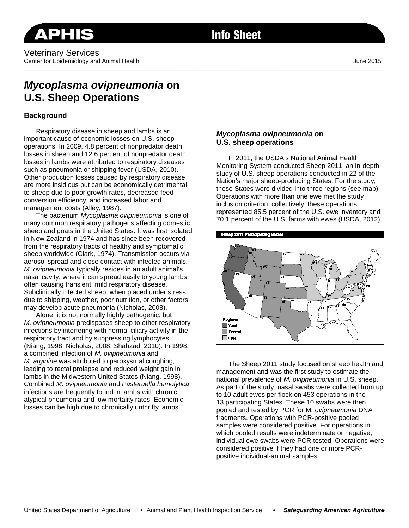#### Veterinary Services Center for Epidemiology and Animal Health June 2015 \_\_\_\_\_\_\_\_\_\_\_\_\_\_\_\_\_\_\_\_\_\_\_\_\_\_\_\_\_\_\_\_\_\_\_\_\_\_\_\_\_\_\_\_\_\_\_\_\_\_\_\_\_\_\_\_\_\_\_\_\_\_\_\_\_\_\_\_\_\_\_\_\_\_\_\_\_\_\_\_\_\_\_\_\_\_\_\_\_\_\_\_\_\_\_\_\_\_\_\_\_\_\_\_\_\_\_\_\_\_\_\_\_\_\_\_\_\_\_\_\_

# **Info Sheet**

# *Mycoplasma ovipneumonia* **on U.S. Sheep Operations**

### **Background**

Respiratory disease in sheep and lambs is an important cause of economic losses on U.S. sheep operations. In 2009, 4.8 percent of nonpredator death losses in sheep and 12.6 percent of nonpredator death losses in lambs were attributed to respiratory diseases such as pneumonia or shipping fever (USDA, 2010). Other production losses caused by respiratory disease are more insidious but can be economically detrimental to sheep due to poor growth rates, decreased feedconversion efficiency, and increased labor and management costs (Alley, 1987).

The bacterium *Mycoplasma ovipneumonia* is one of many common respiratory pathogens affecting domestic sheep and goats in the United States. It was first isolated in New Zealand in 1974 and has since been recovered from the respiratory tracts of healthy and symptomatic sheep worldwide (Clark, 1974). Transmission occurs via aerosol spread and close contact with infected animals. *M. ovipneumonia* typically resides in an adult animal's nasal cavity, where it can spread easily to young lambs, often causing transient, mild respiratory disease. Subclinically infected sheep, when placed under stress due to shipping, weather, poor nutrition, or other factors, may develop acute pneumonia (Nicholas, 2008).

Alone, it is not normally highly pathogenic, but *M. ovipneumonia* predisposes sheep to other respiratory infections by interfering with normal ciliary activity in the respiratory tract and by suppressing lymphocytes (Niang, 1998; Nicholas, 2008; Shahzad, 2010). In 1998, a combined infection of *M. ovipneumonia* and *M. arginine* was attributed to paroxysmal coughing, leading to rectal prolapse and reduced weight gain in lambs in the Midwestern United States (Niang, 1998). Combined *M. ovipneumonia* and *Pasteruella hemolytica* infections are frequently found in lambs with chronic atypical pneumonia and low mortality rates. Economic losses can be high due to chronically unthrifty lambs.

#### *Mycoplasma ovipneumonia* **on U.S. sheep operations**

In 2011, the USDA's National Animal Health Monitoring System conducted Sheep 2011, an in-depth study of U.S. sheep operations conducted in 22 of the Nation's major sheep-producing States. For the study, these States were divided into three regions (see map). Operations with more than one ewe met the study inclusion criterion; collectively, these operations represented 85.5 percent of the U.S. ewe inventory and 70.1 percent of the U.S. farms with ewes (USDA, 2012).



The Sheep 2011 study focused on sheep health and management and was the first study to estimate the national prevalence of *M. ovipneumonia* in U.S. sheep. As part of the study, nasal swabs were collected from up to 10 adult ewes per flock on 453 operations in the 13 participating States. These 10 swabs were then pooled and tested by PCR for M*. ovipneumonia* DNA fragments. Operations with PCR-positive pooled samples were considered positive. For operations in which pooled results were indeterminate or negative, individual ewe swabs were PCR tested. Operations were considered positive if they had one or more PCRpositive individual-animal samples.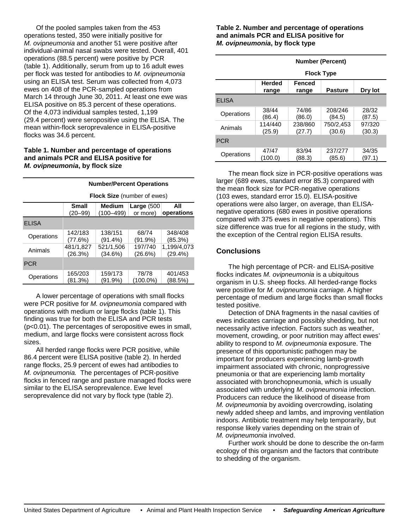Of the pooled samples taken from the 453 operations tested, 350 were initially positive for *M. ovipneumonia* and another 51 were positive after individual-animal nasal swabs were tested. Overall, 401 operations (88.5 percent) were positive by PCR (table 1). Additionally, serum from up to 16 adult ewes per flock was tested for antibodies to *M. ovipneumonia* using an ELISA test. Serum was collected from 4,073 ewes on 408 of the PCR-sampled operations from March 14 through June 30, 2011. At least one ewe was ELISA positive on 85.3 percent of these operations. Of the 4,073 individual samples tested, 1,199 (29.4 percent) were seropositive using the ELISA. The mean within-flock seroprevalence in ELISA-positive flocks was 34.6 percent.

#### **Table 1. Number and percentage of operations and animals PCR and ELISA positive for**  *M. ovipneumonia***, by flock size**

|              | <b>Number/Percent Operations</b>   |               |               |             |  |  |
|--------------|------------------------------------|---------------|---------------|-------------|--|--|
|              | <b>Flock Size</b> (number of ewes) |               |               |             |  |  |
|              | <b>Small</b>                       | <b>Medium</b> | Large $(500)$ | All         |  |  |
|              | $(20 - 99)$                        | $(100 - 499)$ | or more)      | operations  |  |  |
| <b>ELISA</b> |                                    |               |               |             |  |  |
| Operations   | 142/183                            | 138/151       | 68/74         | 348/408     |  |  |
|              | (77.6%)                            | $(91.4\%)$    | (91.9%)       | (85.3%)     |  |  |
| Animals      | 481/1.827                          | 521/1,506     | 197/740       | 1,199/4,073 |  |  |
|              | (26.3%)                            | (34.6%)       | (26.6%)       | (29.4%)     |  |  |
| <b>PCR</b>   |                                    |               |               |             |  |  |
| Operations   | 165/203                            | 159/173       | 78/78         | 401/453     |  |  |
|              | (81.3%)                            | 91.9%)        | (100.0%)      | (88.5%)     |  |  |

A lower percentage of operations with small flocks were PCR positive for *M. ovipneumonia* compared with operations with medium or large flocks (table 1). This finding was true for both the ELISA and PCR tests (p<0.01). The percentages of seropositive ewes in small, medium, and large flocks were consistent across flock sizes.

All herded range flocks were PCR positive, while 86.4 percent were ELISA positive (table 2). In herded range flocks, 25.9 percent of ewes had antibodies to *M. ovipneumonia.* The percentages of PCR-positive flocks in fenced range and pasture managed flocks were similar to the ELISA seroprevalence. Ewe level seroprevalence did not vary by flock type (table 2).

#### **Table 2. Number and percentage of operations and animals PCR and ELISA positive for**  *M. ovipneumonia***, by flock type**

|              | <b>Number (Percent)</b> |                        |                     |                  |  |  |
|--------------|-------------------------|------------------------|---------------------|------------------|--|--|
|              | <b>Flock Type</b>       |                        |                     |                  |  |  |
|              | <b>Herded</b><br>range  | <b>Fenced</b><br>range | <b>Pasture</b>      | Dry lot          |  |  |
| <b>ELISA</b> |                         |                        |                     |                  |  |  |
| Operations   | 38/44<br>(86.4)         | 74/86<br>(86.0)        | 208/246<br>(84.5)   | 28/32<br>(87.5)  |  |  |
| Animals      | 114/440<br>(25.9)       | 238/860<br>(27.7)      | 750/2,453<br>(30.6) | 97/320<br>(30.3) |  |  |
| <b>PCR</b>   |                         |                        |                     |                  |  |  |
| Operations   | 47/47<br>(100.0)        | 83/94<br>(88.3)        | 237/277<br>(85.6)   | 34/35<br>(97.1)  |  |  |

The mean flock size in PCR-positive operations was larger (689 ewes, standard error 85.3) compared with the mean flock size for PCR-negative operations (103 ewes, standard error 15.0). ELISA-positive operations were also larger, on average, than ELISAnegative operations (680 ewes in positive operations compared with 375 ewes in negative operations). This size difference was true for all regions in the study, with the exception of the Central region ELISA results.

# **Conclusions**

The high percentage of PCR- and ELISA-positive flocks indicates *M. ovipneumonia* is a ubiquitous organism in U.S. sheep flocks. All herded-range flocks were positive for *M. ovipneumonia carriage.* A higher percentage of medium and large flocks than small flocks tested positive.

Detection of DNA fragments in the nasal cavities of ewes indicates carriage and possibly shedding, but not necessarily active infection. Factors such as weather, movement, crowding, or poor nutrition may affect ewes' ability to respond to *M. ovipneumonia* exposure. The presence of this opportunistic pathogen may be important for producers experiencing lamb-growth impairment associated with chronic, nonprogressive pneumonia or that are experiencing lamb mortality associated with bronchopneumonia, which is usually associated with underlying *M. ovipneumonia* infection. Producers can reduce the likelihood of disease from *M. ovipneumonia* by avoiding overcrowding, isolating newly added sheep and lambs, and improving ventilation indoors. Antibiotic treatment may help temporarily, but response likely varies depending on the strain of *M. ovipneumonia* involved.

Further work should be done to describe the on-farm ecology of this organism and the factors that contribute to shedding of the organism.